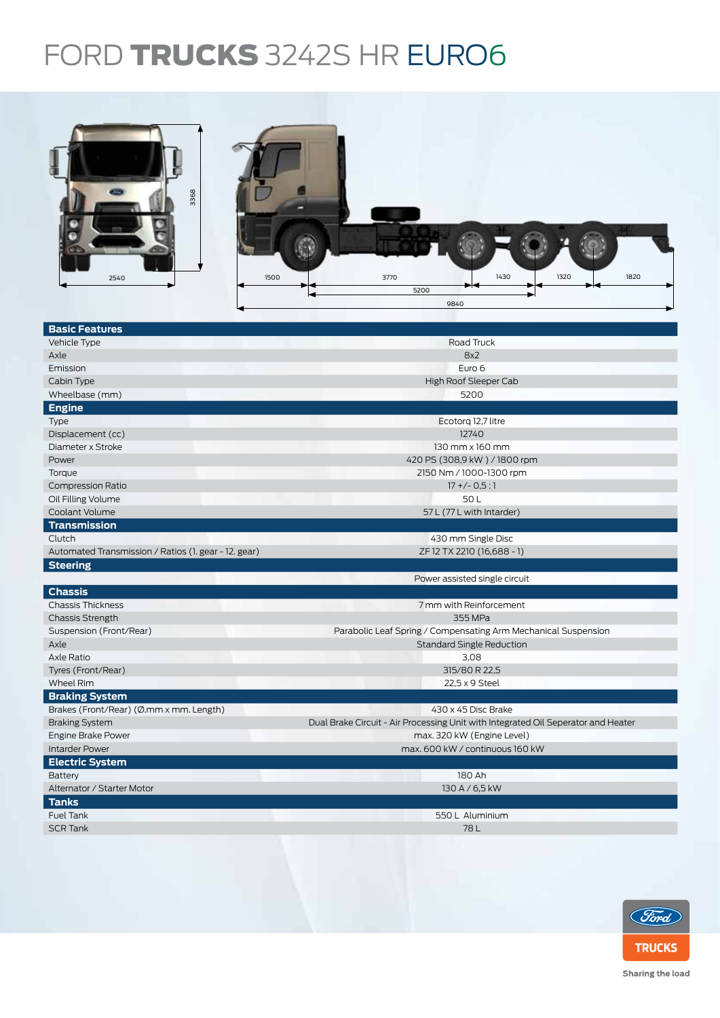## FORD TRUCKS 3242S HR EURO6



| <b>Basic Features</b>                                |                                                                                   |  |  |  |  |
|------------------------------------------------------|-----------------------------------------------------------------------------------|--|--|--|--|
| Vehicle Type                                         | Road Truck                                                                        |  |  |  |  |
| Axle                                                 | 8x2                                                                               |  |  |  |  |
| Emission                                             | Euro 6                                                                            |  |  |  |  |
| Cabin Type                                           | High Roof Sleeper Cab                                                             |  |  |  |  |
| Wheelbase (mm)                                       | 5200                                                                              |  |  |  |  |
| <b>Engine</b>                                        |                                                                                   |  |  |  |  |
| Type                                                 | Ecotorg 12,7 litre                                                                |  |  |  |  |
| Displacement (cc)                                    | 12740                                                                             |  |  |  |  |
| Diameter x Stroke                                    | $130$ mm $\times$ 160 mm                                                          |  |  |  |  |
| Power                                                | 420 PS (308,9 kW) / 1800 rpm                                                      |  |  |  |  |
| Torque                                               | 2150 Nm / 1000-1300 rpm                                                           |  |  |  |  |
| <b>Compression Ratio</b>                             | $17 + (-0.5:1)$                                                                   |  |  |  |  |
| Oil Filling Volume                                   | 50L                                                                               |  |  |  |  |
| Coolant Volume                                       | 57 L (77 L with Intarder)                                                         |  |  |  |  |
| <b>Transmission</b>                                  |                                                                                   |  |  |  |  |
| Clutch                                               | 430 mm Single Disc                                                                |  |  |  |  |
| Automated Transmission / Ratios (1. gear - 12. gear) | ZF 12 TX 2210 (16,688 - 1)                                                        |  |  |  |  |
| <b>Steering</b>                                      |                                                                                   |  |  |  |  |
|                                                      | Power assisted single circuit                                                     |  |  |  |  |
| <b>Chassis</b>                                       |                                                                                   |  |  |  |  |
| <b>Chassis Thickness</b>                             | 7 mm with Reinforcement                                                           |  |  |  |  |
| <b>Chassis Strength</b>                              | 355 MPa                                                                           |  |  |  |  |
| Suspension (Front/Rear)                              | Parabolic Leaf Spring / Compensating Arm Mechanical Suspension                    |  |  |  |  |
| Axle                                                 | <b>Standard Single Reduction</b>                                                  |  |  |  |  |
| Axle Ratio                                           | 3,08                                                                              |  |  |  |  |
| Tyres (Front/Rear)                                   | 315/80 R 22,5                                                                     |  |  |  |  |
| Wheel Rim                                            | 22,5 x 9 Steel                                                                    |  |  |  |  |
| <b>Braking System</b>                                |                                                                                   |  |  |  |  |
| Brakes (Front/Rear) (Ø.mm x mm. Length)              | 430 x 45 Disc Brake                                                               |  |  |  |  |
| <b>Braking System</b>                                | Dual Brake Circuit - Air Processing Unit with Integrated Oil Seperator and Heater |  |  |  |  |
| Engine Brake Power                                   | max. 320 kW (Engine Level)                                                        |  |  |  |  |
| <b>Intarder Power</b>                                | max. 600 kW / continuous 160 kW                                                   |  |  |  |  |
| <b>Electric System</b>                               |                                                                                   |  |  |  |  |
| Battery                                              | 180 Ah                                                                            |  |  |  |  |
| Alternator / Starter Motor                           | 130 A / 6,5 kW                                                                    |  |  |  |  |
| <b>Tanks</b>                                         |                                                                                   |  |  |  |  |
| <b>Fuel Tank</b>                                     | 550 L Aluminium                                                                   |  |  |  |  |
| <b>SCR Tank</b>                                      | 78L                                                                               |  |  |  |  |
|                                                      |                                                                                   |  |  |  |  |
|                                                      |                                                                                   |  |  |  |  |



Sharing the load